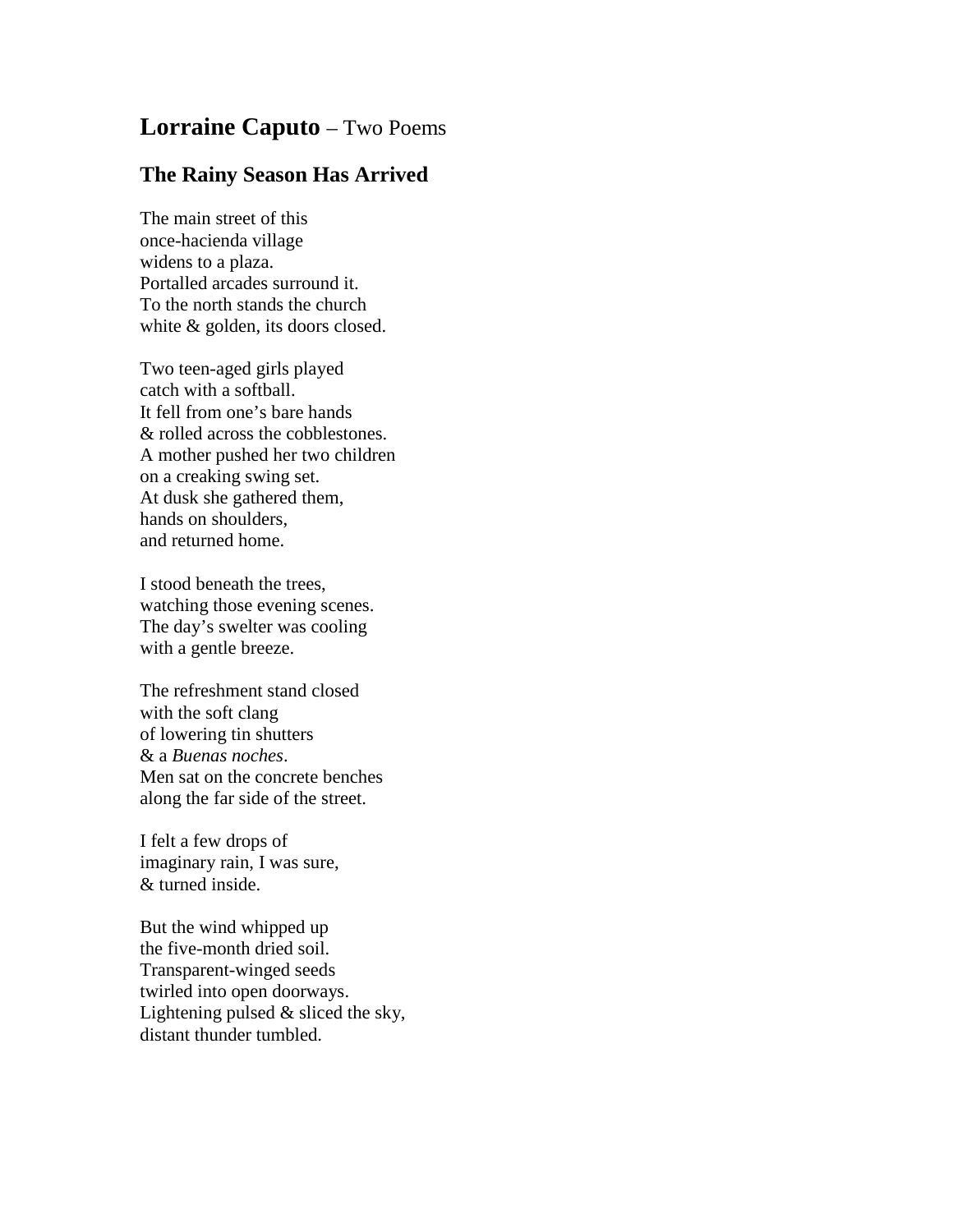## **Lorraine Caputo** – Two Poems

## **The Rainy Season Has Arrived**

The main street of this once-hacienda village widens to a plaza. Portalled arcades surround it. To the north stands the church white & golden, its doors closed.

Two teen-aged girls played catch with a softball. It fell from one's bare hands & rolled across the cobblestones. A mother pushed her two children on a creaking swing set. At dusk she gathered them, hands on shoulders, and returned home.

I stood beneath the trees, watching those evening scenes. The day's swelter was cooling with a gentle breeze.

The refreshment stand closed with the soft clang of lowering tin shutters & a *Buenas noches*. Men sat on the concrete benches along the far side of the street.

I felt a few drops of imaginary rain, I was sure, & turned inside.

But the wind whipped up the five-month dried soil. Transparent-winged seeds twirled into open doorways. Lightening pulsed & sliced the sky, distant thunder tumbled.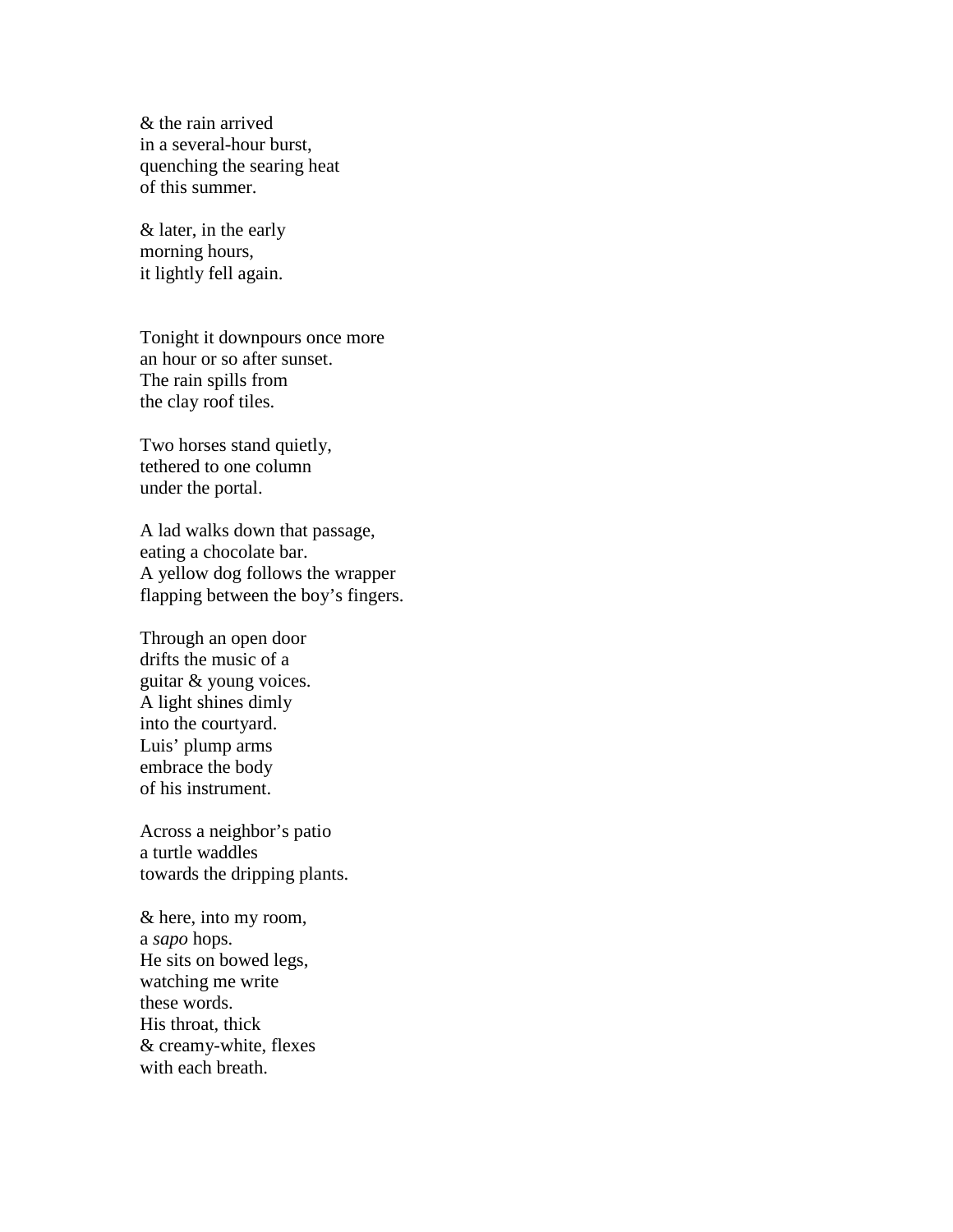& the rain arrived in a several-hour burst, quenching the searing heat of this summer.

& later, in the early morning hours, it lightly fell again.

Tonight it downpours once more an hour or so after sunset. The rain spills from the clay roof tiles.

Two horses stand quietly, tethered to one column under the portal.

A lad walks down that passage, eating a chocolate bar. A yellow dog follows the wrapper flapping between the boy's fingers.

Through an open door drifts the music of a guitar & young voices. A light shines dimly into the courtyard. Luis' plump arms embrace the body of his instrument.

Across a neighbor's patio a turtle waddles towards the dripping plants.

& here, into my room, a *sapo* hops. He sits on bowed legs, watching me write these words. His throat, thick & creamy-white, flexes with each breath.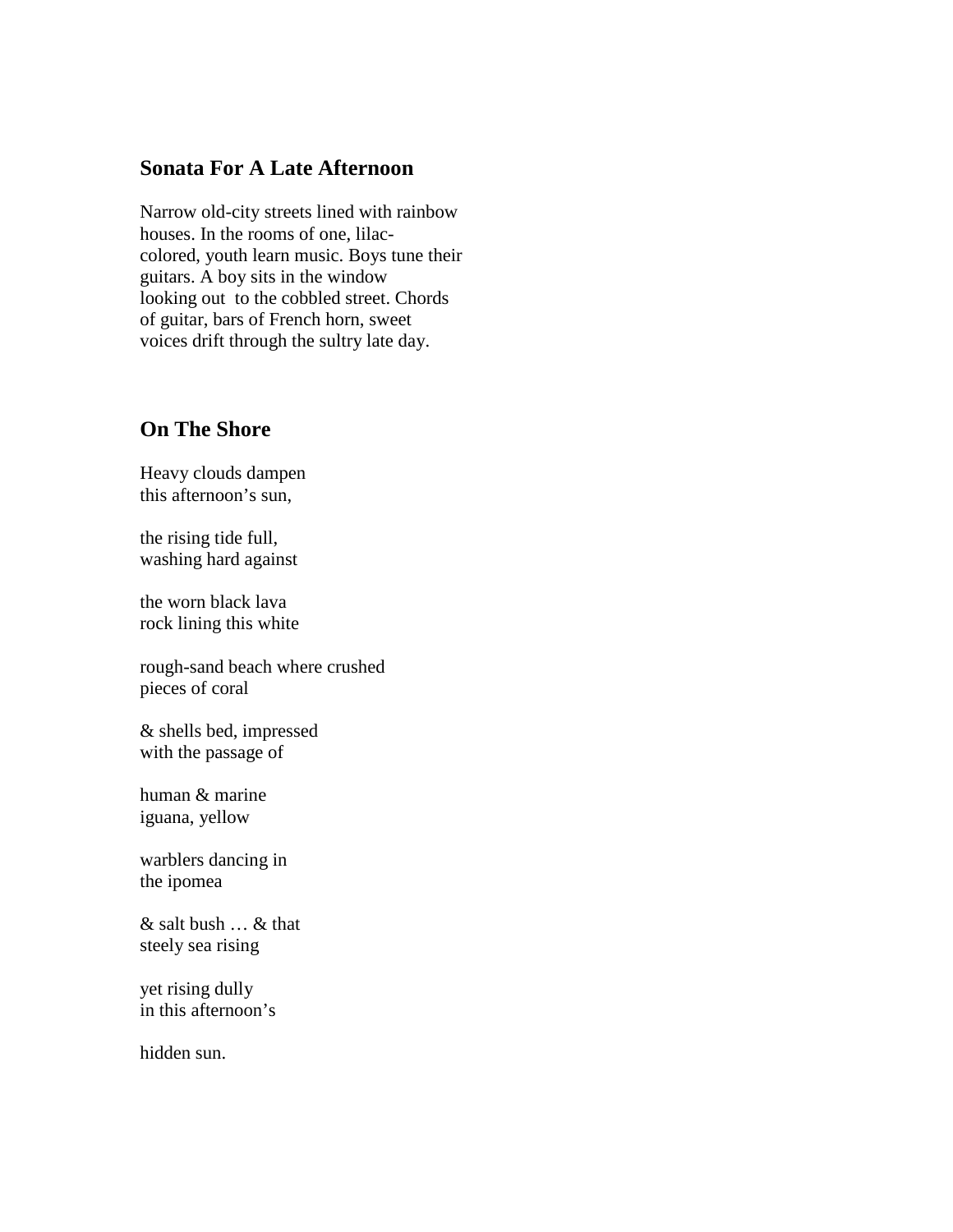## **Sonata For A Late Afternoon**

Narrow old-city streets lined with rainbow houses. In the rooms of one, lilaccolored, youth learn music. Boys tune their guitars. A boy sits in the window looking out to the cobbled street. Chords of guitar, bars of French horn, sweet voices drift through the sultry late day.

## **On The Shore**

Heavy clouds dampen this afternoon's sun,

the rising tide full, washing hard against

the worn black lava rock lining this white

rough-sand beach where crushed pieces of coral

& shells bed, impressed with the passage of

human & marine iguana, yellow

warblers dancing in the ipomea

& salt bush … & that steely sea rising

yet rising dully in this afternoon's

hidden sun.